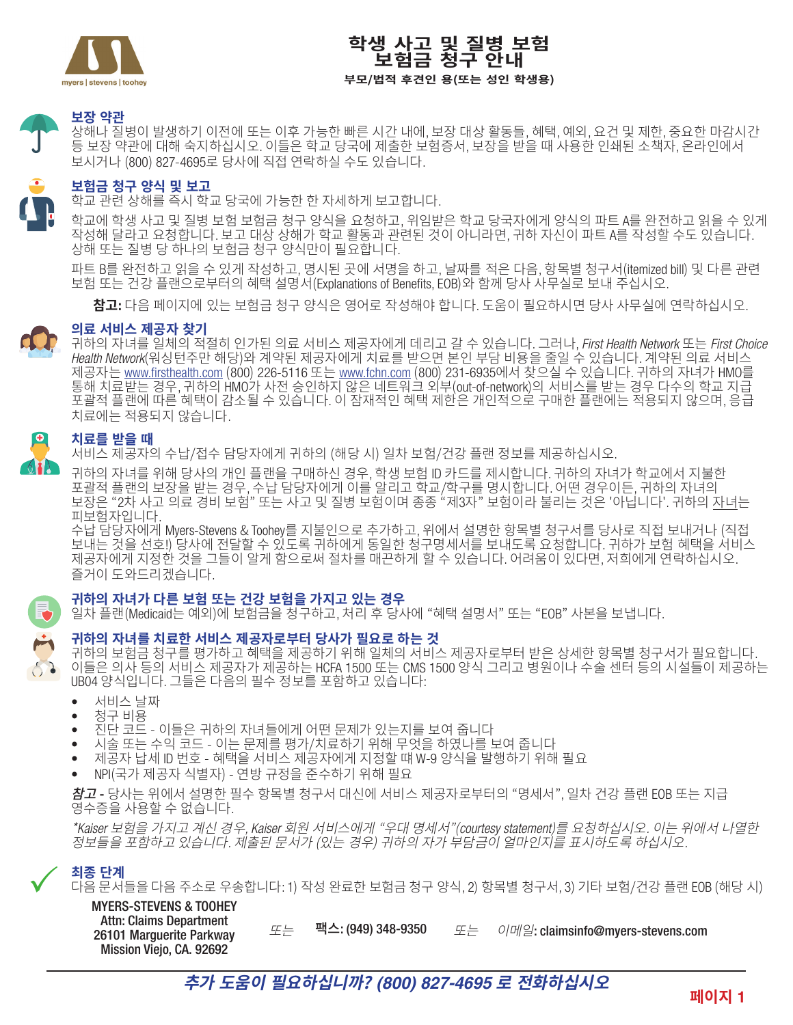

## **학생 사고 및 질병 보험 보험금 청구 안내 부모/법적 후견인 용(또는 성인 학생용)**

## **보장 약관**

상해나 질병이 발생하기 이전에 또는 이후 가능한 빠른 시간 내에, 보장 대상 활동들, 혜택, 예외, 요건 및 제한, 중요한 마감시간 등 보장 약관에 대해 숙지하십시오. 이들은 학교 당국에 제출한 보험증서, 보장을 받을 때 사용한 인쇄된 소책자, 온라인에서 보시거나 (800) 827-4695로 당사에 직접 연락하실 수도 있습니다.

## **보험금 청구 양식 및 보고**

학교 관련 상해를 즉시 학교 당국에 가능한 한 자세하게 보고합니다.

학교에 학생 사고 및 질병 보험 보험금 청구 양식을 요청하고, 위임받은 학교 당국자에게 양식의 파트 A를 완전하고 읽을 수 있게 작성해 달라고 요청합니다. 보고 대상 상해가 학교 활동과 관련된 것이 아니라면, 귀하 자신이 파트 A를 작성할 수도 있습니다. 상해 또는 질병 당 하나의 보험금 청구 양식만이 필요합니다.

파트 B를 완전하고 읽을 수 있게 작성하고, 명시된 곳에 서명을 하고, 날짜를 적은 다음, 항목별 청구서(itemized bill) 및 다른 관련 보험 또는 건강 플랜으로부터의 혜택 설명서(Explanations of Benefits, EOB)와 함께 당사 사무실로 보내 주십시오.

**참고**: 다음 페이지에 있는 보험금 청구 양식은 영어로 작성해야 합니다. 도움이 필요하시면 당사 사무실에 연락하십시오.

### **의료 서비스 제공자 찾기**

귀하의 자녀를 일체의 적절히 인가된 의료 서비스 제공자에게 데리고 갈 수 있습니다. 그러나, *First Health Network* 또는 *First Choice Health Network*(워싱턴주만 해당)와 계약된 제공자에게 치료를 받으면 본인 부담 비용을 줄일 수 있습니다. 계약된 의료 서비스 제공자는 <u>www.firsthealth.com</u> (800) 226-5116 또는 www.fchn.com (800) 231-6935에서 찾으실 수 있습니다. 귀하의 자녀가 HMO를 통해 치료받는 경우, 귀하의 HMO가 사전 승인하지 않은 네트워크 외부(out-of-network)의 서비스를 받는 경우 다수의 학교 지급 포괄적 플랜에 따른 혜택이 감소될 수 있습니다. 이 잠재적인 혜택 제한은 개인적으로 구매한 플랜에는 적용되지 않으며, 응급 치료에는 적용되지 않습니다.

#### $\left[ \begin{array}{c} 0 \end{array} \right]$ **치료를 받을 때**

서비스 제공자의 수납/접수 담당자에게 귀하의 (해당 시) 일차 보험/건강 플랜 정보를 제공하십시오.

귀하의 자녀를 위해 당사의 개인 플랜을 구매하신 경우, 학생 보험 ID 카드를 제시합니다. 귀하의 자녀가 학교에서 지불한 포괄적 플랜의 보장을 받는 경우, 수납 담당자에게 이를 알리고 학교/학구를 명시합니다. 어떤 경우이든, 귀하의 자녀의 보장은 "2차 사고 의료 경비 보험" 또는 사고 및 질병 보험이며 종종 "제3자" 보험이라 불리는 것은 '아닙니다'. 귀하의 <u>자녀</u>는 피보험자입니다.

수납 담당자에게 Myers-Stevens & Toohey를 지불인으로 추가하고, 위에서 설명한 항목별 청구서를 당사로 직접 보내거나 (직접 보내는 것을 선호!) 당사에 전달할 수 있도록 귀하에게 동일한 청구명세서를 보내도록 요청합니다. 귀하가 보험 혜택을 서비스 제공자에게 지정한 것을 그들이 알게 함으로써 절차를 매끈하게 할 수 있습니다. 어려움이 있다면, 저희에게 연락하십시오. 즐거이 도와드리겠습니다.

### **귀하의 자녀가 다른 보험 또는 건강 보험을 가지고 있는 경우**

일차 플랜(Medicaid는 예외)에 보험금을 청구하고, 처리 후 당사에 "혜택 설명서" 또는 "EOB" 사본을 보냅니다.



귀하의 보험금 청구를 평가하고 혜택을 제공하기 위해 일체의 서비스 제공자로부터 받은 상세한 항목별 청구서가 필요합니다. 이들은 의사 등의 서비스 제공자가 제공하는 HCFA 1500 또는 CMS 1500 양식 그리고 병원이나 수술 센터 등의 시설들이 제공하는 UB04 양식입니다. 그들은 다음의 필수 정보를 포함하고 있습니다:

- 서비스 날짜<br>● 청구 비용
- 청구 비용
- 진단 코드 이들은 귀하의 자녀들에게 어떤 문제가 있는지를 보여 줍니다
- 시술 또는 수익 코드 이는 문제를 평가/치료하기 위해 무엇을 하였나를 보여 줍니다
- 제공자 납세 ID 번호 혜택을 서비스 제공자에게 지정할 떄 W-9 양식을 발행하기 위해 필요
- NPI(국가 제공자 식별자) 연방 규정을 준수하기 위해 필요

참고 - 당사는 위에서 설명한 필수 항목별 청구서 대신에 서비스 제공자로부터의 "명세서", 일차 건강 플랜 EOB 또는 지급 영수증을 사용할 수 없습니다.

\**Kaiser* 보험을 가지고 계신 경우*, Kaiser* 회원 서비스에게 "우대 명세서"(*courtesy statement*)를 요청하십시오*.* 이는 위에서 나열한 정보들을 포함하고 있습니다*.* 제출된 문서가 (있는 경우) 귀하의 자가 부담금이 얼마인지를 표시하도록 하십시오*.* 

# **최종 단계**  $\checkmark$

다음 문서들을 다음 주소로 우송합니다: 1) 작성 완료한 보험금 청구 양식, 2) 항목별 청구서, 3) 기타 보험/건강 플랜 EOB (해당 시)

MYERS-STEVENS & TOOHEY Attn: Claims Department 26101 Marguerite Parkway Mission Viejo, CA, 92692

또는 팩스: (949) 348-9350 또는 이메일: claimsinfo@myers-stevens.com 또는

**추가 도움이 필요하십니까?** *(800) 827-4695* **로 전화하십시오**

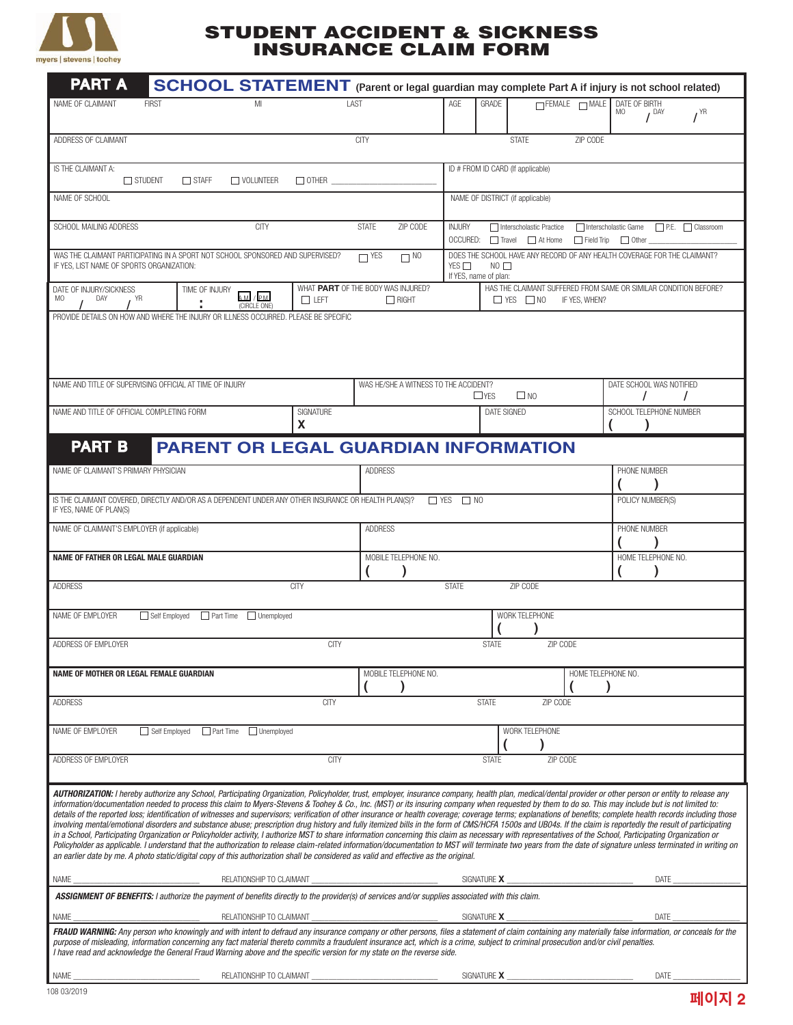

## STUDENT ACCIDENT & SICKNESS INSURANCE CLAIM FORM

| <b>PART A</b>                                                                                                                                                                                                                                                                                                                                                                                                                                                                                                                                                                                                                                                                                                                                                                                                                                                                                                                                                                                                                                                                                                                                                                                                                                                                                                                                                                                                                                                           |                                                | SCHOOL STATEMENT (Parent or legal guardian may complete Part A if injury is not school related) |                                                                                                                                       |              |                                       |                                                    |                           |                                                                                          |                           |                     |                                                     |                              |
|-------------------------------------------------------------------------------------------------------------------------------------------------------------------------------------------------------------------------------------------------------------------------------------------------------------------------------------------------------------------------------------------------------------------------------------------------------------------------------------------------------------------------------------------------------------------------------------------------------------------------------------------------------------------------------------------------------------------------------------------------------------------------------------------------------------------------------------------------------------------------------------------------------------------------------------------------------------------------------------------------------------------------------------------------------------------------------------------------------------------------------------------------------------------------------------------------------------------------------------------------------------------------------------------------------------------------------------------------------------------------------------------------------------------------------------------------------------------------|------------------------------------------------|-------------------------------------------------------------------------------------------------|---------------------------------------------------------------------------------------------------------------------------------------|--------------|---------------------------------------|----------------------------------------------------|---------------------------|------------------------------------------------------------------------------------------|---------------------------|---------------------|-----------------------------------------------------|------------------------------|
| NAME OF CLAIMANT                                                                                                                                                                                                                                                                                                                                                                                                                                                                                                                                                                                                                                                                                                                                                                                                                                                                                                                                                                                                                                                                                                                                                                                                                                                                                                                                                                                                                                                        | <b>FIRST</b>                                   | MI                                                                                              |                                                                                                                                       | LAST         |                                       | AGE                                                | GRADE                     |                                                                                          | $\Box$ FEMALE $\Box$ MALE | DATE OF BIRTH<br>MO |                                                     |                              |
|                                                                                                                                                                                                                                                                                                                                                                                                                                                                                                                                                                                                                                                                                                                                                                                                                                                                                                                                                                                                                                                                                                                                                                                                                                                                                                                                                                                                                                                                         |                                                |                                                                                                 |                                                                                                                                       |              |                                       |                                                    |                           |                                                                                          |                           |                     | I <sup>DAY</sup>                                    | $I^{\text{YR}}$              |
| ADDRESS OF CLAIMANT                                                                                                                                                                                                                                                                                                                                                                                                                                                                                                                                                                                                                                                                                                                                                                                                                                                                                                                                                                                                                                                                                                                                                                                                                                                                                                                                                                                                                                                     |                                                |                                                                                                 |                                                                                                                                       | <b>CITY</b>  |                                       |                                                    |                           | <b>STATE</b>                                                                             | ZIP CODE                  |                     |                                                     |                              |
| IS THE CLAIMANT A:<br>$\Box$ STUDENT<br>$\Box$ OTHER $\Box$<br>$\Box$ STAFF<br>$\Box$ VOLUNTEER                                                                                                                                                                                                                                                                                                                                                                                                                                                                                                                                                                                                                                                                                                                                                                                                                                                                                                                                                                                                                                                                                                                                                                                                                                                                                                                                                                         |                                                |                                                                                                 |                                                                                                                                       |              |                                       | ID # FROM ID CARD (If applicable)                  |                           |                                                                                          |                           |                     |                                                     |                              |
| NAME OF SCHOOL                                                                                                                                                                                                                                                                                                                                                                                                                                                                                                                                                                                                                                                                                                                                                                                                                                                                                                                                                                                                                                                                                                                                                                                                                                                                                                                                                                                                                                                          |                                                |                                                                                                 |                                                                                                                                       |              |                                       | NAME OF DISTRICT (if applicable)                   |                           |                                                                                          |                           |                     |                                                     |                              |
| SCHOOL MAILING ADDRESS                                                                                                                                                                                                                                                                                                                                                                                                                                                                                                                                                                                                                                                                                                                                                                                                                                                                                                                                                                                                                                                                                                                                                                                                                                                                                                                                                                                                                                                  |                                                | <b>CITY</b>                                                                                     |                                                                                                                                       | <b>STATE</b> | ZIP CODE                              | <b>INJURY</b>                                      |                           | Interscholastic Practice                                                                 | Interscholastic Game      |                     |                                                     | $\Box$ P.E. $\Box$ Classroom |
|                                                                                                                                                                                                                                                                                                                                                                                                                                                                                                                                                                                                                                                                                                                                                                                                                                                                                                                                                                                                                                                                                                                                                                                                                                                                                                                                                                                                                                                                         | $\Box$ YES                                     |                                                                                                 | OCCURED: Travel At Home<br>$\Box$ Field Trip $\Box$ Other<br>DOES THE SCHOOL HAVE ANY RECORD OF ANY HEALTH COVERAGE FOR THE CLAIMANT? |              |                                       |                                                    |                           |                                                                                          |                           |                     |                                                     |                              |
| WAS THE CLAIMANT PARTICIPATING IN A SPORT NOT SCHOOL SPONSORED AND SUPERVISED?<br>IF YES, LIST NAME OF SPORTS ORGANIZATION:                                                                                                                                                                                                                                                                                                                                                                                                                                                                                                                                                                                                                                                                                                                                                                                                                                                                                                                                                                                                                                                                                                                                                                                                                                                                                                                                             |                                                |                                                                                                 |                                                                                                                                       |              | $\Box$ NO                             | YES $\Box$<br>$NO$ $\Box$<br>If YES, name of plan: |                           |                                                                                          |                           |                     |                                                     |                              |
| DATE OF INJURY/SICKNESS<br>YR<br>MO<br>DAY                                                                                                                                                                                                                                                                                                                                                                                                                                                                                                                                                                                                                                                                                                                                                                                                                                                                                                                                                                                                                                                                                                                                                                                                                                                                                                                                                                                                                              | TIME OF INJURY                                 | AM/PM<br>(CIRCLE ONE)                                                                           | WHAT PART OF THE BODY WAS INJURED?<br>$\Box$ LEFT                                                                                     |              | $\Box$ RIGHT                          |                                                    |                           | HAS THE CLAIMANT SUFFERED FROM SAME OR SIMILAR CONDITION BEFORE?<br>$\Box$ YES $\Box$ NO | IF YES, WHEN?             |                     |                                                     |                              |
| PROVIDE DETAILS ON HOW AND WHERE THE INJURY OR ILLNESS OCCURRED. PLEASE BE SPECIFIC                                                                                                                                                                                                                                                                                                                                                                                                                                                                                                                                                                                                                                                                                                                                                                                                                                                                                                                                                                                                                                                                                                                                                                                                                                                                                                                                                                                     |                                                |                                                                                                 |                                                                                                                                       |              |                                       |                                                    |                           |                                                                                          |                           |                     |                                                     |                              |
| NAME AND TITLE OF SUPERVISING OFFICIAL AT TIME OF INJURY<br>NAME AND TITLE OF OFFICIAL COMPLETING FORM                                                                                                                                                                                                                                                                                                                                                                                                                                                                                                                                                                                                                                                                                                                                                                                                                                                                                                                                                                                                                                                                                                                                                                                                                                                                                                                                                                  |                                                |                                                                                                 | SIGNATURF<br>X                                                                                                                        |              | WAS HE/SHE A WITNESS TO THE ACCIDENT? |                                                    | $\Box$ YFS<br>DATE SIGNED | $\square$ NO                                                                             |                           |                     | DATE SCHOOL WAS NOTIFIED<br>SCHOOL TELEPHONE NUMBER | $\prime$                     |
| <b>PART B</b>                                                                                                                                                                                                                                                                                                                                                                                                                                                                                                                                                                                                                                                                                                                                                                                                                                                                                                                                                                                                                                                                                                                                                                                                                                                                                                                                                                                                                                                           |                                                | <b>PARENT OR LEGAL GUARDIAN INFORMATION</b>                                                     |                                                                                                                                       |              |                                       |                                                    |                           |                                                                                          |                           |                     |                                                     |                              |
| NAME OF CLAIMANT'S PRIMARY PHYSICIAN                                                                                                                                                                                                                                                                                                                                                                                                                                                                                                                                                                                                                                                                                                                                                                                                                                                                                                                                                                                                                                                                                                                                                                                                                                                                                                                                                                                                                                    |                                                |                                                                                                 |                                                                                                                                       |              | <b>ADDRESS</b>                        |                                                    |                           |                                                                                          |                           | PHONE NUMBER        |                                                     |                              |
| IS THE CLAIMANT COVERED, DIRECTLY AND/OR AS A DEPENDENT UNDER ANY OTHER INSURANCE OR HEALTH PLAN(S)?                                                                                                                                                                                                                                                                                                                                                                                                                                                                                                                                                                                                                                                                                                                                                                                                                                                                                                                                                                                                                                                                                                                                                                                                                                                                                                                                                                    |                                                |                                                                                                 |                                                                                                                                       |              | $\Box$ YES<br>$\Box$ NO               |                                                    |                           |                                                                                          |                           |                     | POLICY NUMBER(S)                                    |                              |
|                                                                                                                                                                                                                                                                                                                                                                                                                                                                                                                                                                                                                                                                                                                                                                                                                                                                                                                                                                                                                                                                                                                                                                                                                                                                                                                                                                                                                                                                         | IF YES, NAME OF PLAN(S)                        |                                                                                                 |                                                                                                                                       |              |                                       |                                                    |                           |                                                                                          |                           |                     |                                                     |                              |
| NAME OF CLAIMANT'S EMPLOYER (if applicable)                                                                                                                                                                                                                                                                                                                                                                                                                                                                                                                                                                                                                                                                                                                                                                                                                                                                                                                                                                                                                                                                                                                                                                                                                                                                                                                                                                                                                             |                                                |                                                                                                 |                                                                                                                                       |              | <b>ADDRESS</b>                        |                                                    |                           |                                                                                          |                           |                     | PHONE NUMBER                                        |                              |
| <b>NAME OF FATHER OR LEGAL MALE GUARDIAN</b>                                                                                                                                                                                                                                                                                                                                                                                                                                                                                                                                                                                                                                                                                                                                                                                                                                                                                                                                                                                                                                                                                                                                                                                                                                                                                                                                                                                                                            |                                                |                                                                                                 |                                                                                                                                       |              | MOBILE TELEPHONE NO.                  |                                                    |                           |                                                                                          |                           |                     | HOME TELEPHONE NO.                                  |                              |
| <b>CITY</b><br><b>STATE</b><br>ZIP CODE<br>ADDRESS                                                                                                                                                                                                                                                                                                                                                                                                                                                                                                                                                                                                                                                                                                                                                                                                                                                                                                                                                                                                                                                                                                                                                                                                                                                                                                                                                                                                                      |                                                |                                                                                                 |                                                                                                                                       |              |                                       |                                                    |                           |                                                                                          |                           |                     |                                                     |                              |
| NAME OF EMPLOYER<br>Self Employed <b>Part Time</b> Unemployed                                                                                                                                                                                                                                                                                                                                                                                                                                                                                                                                                                                                                                                                                                                                                                                                                                                                                                                                                                                                                                                                                                                                                                                                                                                                                                                                                                                                           |                                                |                                                                                                 | WORK TELEPHONE                                                                                                                        |              |                                       |                                                    |                           |                                                                                          |                           |                     |                                                     |                              |
| ADDRESS OF EMPLOYER                                                                                                                                                                                                                                                                                                                                                                                                                                                                                                                                                                                                                                                                                                                                                                                                                                                                                                                                                                                                                                                                                                                                                                                                                                                                                                                                                                                                                                                     | <b>CITY</b><br><b>ZIP CODE</b><br><b>STATE</b> |                                                                                                 |                                                                                                                                       |              |                                       |                                                    |                           |                                                                                          |                           |                     |                                                     |                              |
| NAME OF MOTHER OR LEGAL FEMALE GUARDIAN                                                                                                                                                                                                                                                                                                                                                                                                                                                                                                                                                                                                                                                                                                                                                                                                                                                                                                                                                                                                                                                                                                                                                                                                                                                                                                                                                                                                                                 |                                                |                                                                                                 |                                                                                                                                       |              | MOBILE TELEPHONE NO.                  |                                                    |                           |                                                                                          | HOME TELEPHONE NO.        |                     |                                                     |                              |
| <b>ADDRESS</b>                                                                                                                                                                                                                                                                                                                                                                                                                                                                                                                                                                                                                                                                                                                                                                                                                                                                                                                                                                                                                                                                                                                                                                                                                                                                                                                                                                                                                                                          |                                                |                                                                                                 | <b>CITY</b>                                                                                                                           |              |                                       |                                                    | <b>STATE</b>              | ZIP CODE                                                                                 |                           |                     |                                                     |                              |
| WORK TELEPHONE<br>NAME OF EMPLOYER<br>Self Employed Part Time Unemployed                                                                                                                                                                                                                                                                                                                                                                                                                                                                                                                                                                                                                                                                                                                                                                                                                                                                                                                                                                                                                                                                                                                                                                                                                                                                                                                                                                                                |                                                |                                                                                                 |                                                                                                                                       |              |                                       |                                                    |                           |                                                                                          |                           |                     |                                                     |                              |
| ADDRESS OF EMPLOYER                                                                                                                                                                                                                                                                                                                                                                                                                                                                                                                                                                                                                                                                                                                                                                                                                                                                                                                                                                                                                                                                                                                                                                                                                                                                                                                                                                                                                                                     |                                                |                                                                                                 | <b>CITY</b>                                                                                                                           |              |                                       |                                                    | <b>STATE</b>              | ZIP CODE                                                                                 |                           |                     |                                                     |                              |
| AUTHORIZATION: I hereby authorize any School, Participating Organization, Policyholder, trust, employer, insurance company, health plan, medical/dental provider or other person or entity to release any<br>information/documentation needed to process this claim to Myers-Stevens & Toohey & Co., Inc. (MST) or its insuring company when requested by them to do so. This may include but is not limited to:<br>details of the reported loss; identification of witnesses and supervisors; verification of other insurance or health coverage; coverage terms; explanations of benefits; complete health records including those<br>involving mental/emotional disorders and substance abuse; prescription drug history and fully itemized bills in the form of CMS/HCFA 1500s and UB04s. If the claim is reportedly the result of participating<br>in a School, Participating Organization or Policyholder activity, I authorize MST to share information concerning this claim as necessary with representatives of the School, Participating Organization or<br>Policyholder as applicable. I understand that the authorization to release claim-related information/documentation to MST will terminate two years from the date of signature unless terminated in writing on<br>an earlier date by me. A photo static/digital copy of this authorization shall be considered as valid and effective as the original.<br>SIGNATURE X<br>RELATIONSHIP TO CLAIMANT |                                                |                                                                                                 |                                                                                                                                       |              |                                       |                                                    |                           |                                                                                          |                           |                     |                                                     |                              |
| NAME_<br>ASSIGNMENT OF BENEFITS: I authorize the payment of benefits directly to the provider(s) of services and/or supplies associated with this claim.                                                                                                                                                                                                                                                                                                                                                                                                                                                                                                                                                                                                                                                                                                                                                                                                                                                                                                                                                                                                                                                                                                                                                                                                                                                                                                                |                                                |                                                                                                 |                                                                                                                                       |              |                                       |                                                    |                           |                                                                                          |                           |                     | DATE                                                |                              |
| NAME                                                                                                                                                                                                                                                                                                                                                                                                                                                                                                                                                                                                                                                                                                                                                                                                                                                                                                                                                                                                                                                                                                                                                                                                                                                                                                                                                                                                                                                                    |                                                | RELATIONSHIP TO CLAIMANT                                                                        |                                                                                                                                       |              |                                       |                                                    | SIGNATURE X               |                                                                                          |                           |                     | DATE                                                |                              |
| FRAUD WARNING: Any person who knowingly and with intent to defraud any insurance company or other persons, files a statement of claim containing any materially false information, or conceals for the<br>purpose of misleading, information concerning any fact material thereto commits a fraudulent insurance act, which is a crime, subject to criminal prosecution and/or civil penalties.<br>I have read and acknowledge the General Fraud Warning above and the specific version for my state on the reverse side.                                                                                                                                                                                                                                                                                                                                                                                                                                                                                                                                                                                                                                                                                                                                                                                                                                                                                                                                               |                                                |                                                                                                 |                                                                                                                                       |              |                                       |                                                    |                           |                                                                                          |                           |                     |                                                     |                              |
| NAME                                                                                                                                                                                                                                                                                                                                                                                                                                                                                                                                                                                                                                                                                                                                                                                                                                                                                                                                                                                                                                                                                                                                                                                                                                                                                                                                                                                                                                                                    |                                                | RELATIONSHIP TO CLAIMANT                                                                        |                                                                                                                                       |              |                                       |                                                    | SIGNATURE X               |                                                                                          |                           |                     | DATE                                                |                              |